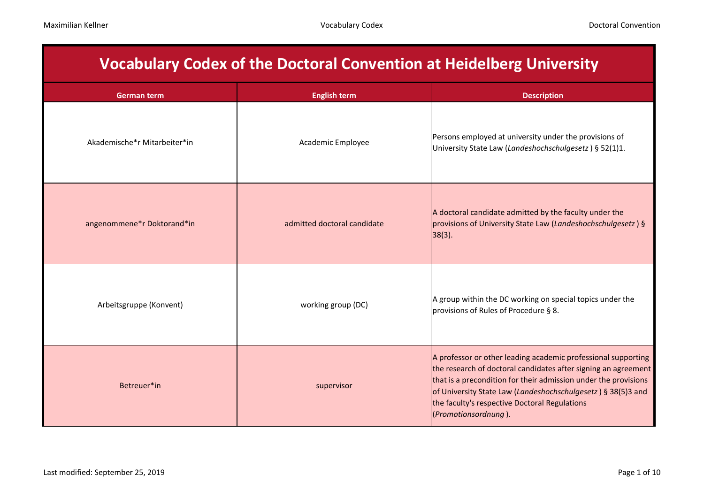| <b>Vocabulary Codex of the Doctoral Convention at Heidelberg University</b> |                             |                                                                                                                                                                                                                                                                                                                                             |
|-----------------------------------------------------------------------------|-----------------------------|---------------------------------------------------------------------------------------------------------------------------------------------------------------------------------------------------------------------------------------------------------------------------------------------------------------------------------------------|
| <b>German term</b>                                                          | <b>English term</b>         | <b>Description</b>                                                                                                                                                                                                                                                                                                                          |
| Akademische*r Mitarbeiter*in                                                | Academic Employee           | Persons employed at university under the provisions of<br>University State Law (Landeshochschulgesetz) § 52(1)1.                                                                                                                                                                                                                            |
| angenommene*r Doktorand*in                                                  | admitted doctoral candidate | A doctoral candidate admitted by the faculty under the<br>provisions of University State Law (Landeshochschulgesetz) §<br>$38(3)$ .                                                                                                                                                                                                         |
| Arbeitsgruppe (Konvent)                                                     | working group (DC)          | A group within the DC working on special topics under the<br>provisions of Rules of Procedure § 8.                                                                                                                                                                                                                                          |
| Betreuer*in                                                                 | supervisor                  | A professor or other leading academic professional supporting<br>the research of doctoral candidates after signing an agreement<br>that is a precondition for their admission under the provisions<br>of University State Law (Landeshochschulgesetz) § 38(5)3 and<br>the faculty's respective Doctoral Regulations<br>(Promotionsordnung). |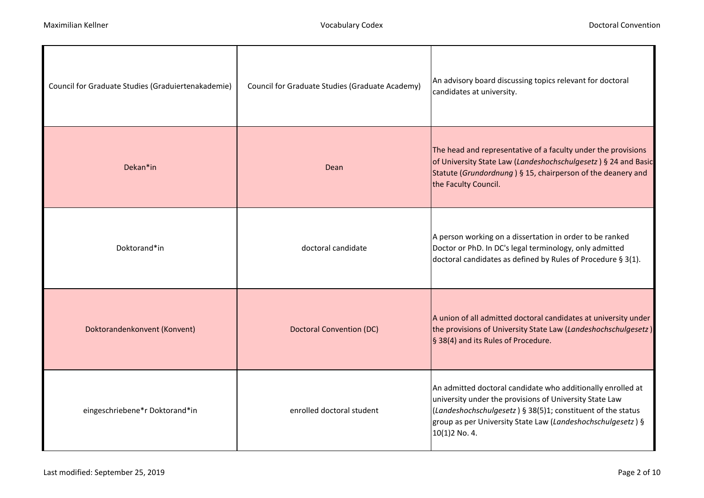| Council for Graduate Studies (Graduiertenakademie) | Council for Graduate Studies (Graduate Academy) | An advisory board discussing topics relevant for doctoral<br>candidates at university.                                                                                                                                                                                |
|----------------------------------------------------|-------------------------------------------------|-----------------------------------------------------------------------------------------------------------------------------------------------------------------------------------------------------------------------------------------------------------------------|
| Dekan*in                                           | Dean                                            | The head and representative of a faculty under the provisions<br>of University State Law (Landeshochschulgesetz) § 24 and Basic<br>Statute (Grundordnung) § 15, chairperson of the deanery and<br>the Faculty Council.                                                |
| Doktorand*in                                       | doctoral candidate                              | A person working on a dissertation in order to be ranked<br>Doctor or PhD. In DC's legal terminology, only admitted<br>doctoral candidates as defined by Rules of Procedure § 3(1).                                                                                   |
| Doktorandenkonvent (Konvent)                       | <b>Doctoral Convention (DC)</b>                 | A union of all admitted doctoral candidates at university under<br>the provisions of University State Law (Landeshochschulgesetz)<br>§ 38(4) and its Rules of Procedure.                                                                                              |
| eingeschriebene*r Doktorand*in                     | enrolled doctoral student                       | An admitted doctoral candidate who additionally enrolled at<br>university under the provisions of University State Law<br>(Landeshochschulgesetz) § 38(5)1; constituent of the status<br>group as per University State Law (Landeshochschulgesetz) §<br>10(1)2 No. 4. |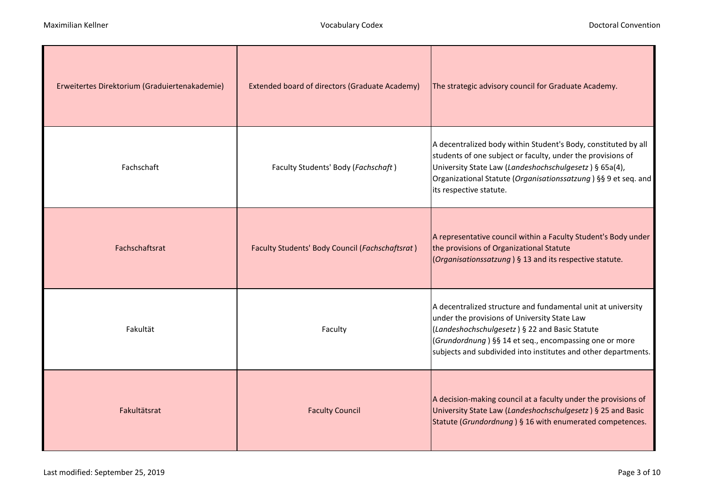| Erweitertes Direktorium (Graduiertenakademie) | Extended board of directors (Graduate Academy)  | The strategic advisory council for Graduate Academy.                                                                                                                                                                                                                                       |
|-----------------------------------------------|-------------------------------------------------|--------------------------------------------------------------------------------------------------------------------------------------------------------------------------------------------------------------------------------------------------------------------------------------------|
| Fachschaft                                    | Faculty Students' Body (Fachschaft)             | A decentralized body within Student's Body, constituted by all<br>students of one subject or faculty, under the provisions of<br>University State Law (Landeshochschulgesetz) § 65a(4),<br>Organizational Statute (Organisationssatzung) §§ 9 et seq. and<br>its respective statute.       |
| Fachschaftsrat                                | Faculty Students' Body Council (Fachschaftsrat) | A representative council within a Faculty Student's Body under<br>the provisions of Organizational Statute<br>(Organisationssatzung) § 13 and its respective statute.                                                                                                                      |
| Fakultät                                      | Faculty                                         | A decentralized structure and fundamental unit at university<br>under the provisions of University State Law<br>(Landeshochschulgesetz) § 22 and Basic Statute<br>(Grundordnung) §§ 14 et seq., encompassing one or more<br>subjects and subdivided into institutes and other departments. |
| Fakultätsrat                                  | <b>Faculty Council</b>                          | A decision-making council at a faculty under the provisions of<br>University State Law (Landeshochschulgesetz) § 25 and Basic<br>Statute (Grundordnung) § 16 with enumerated competences.                                                                                                  |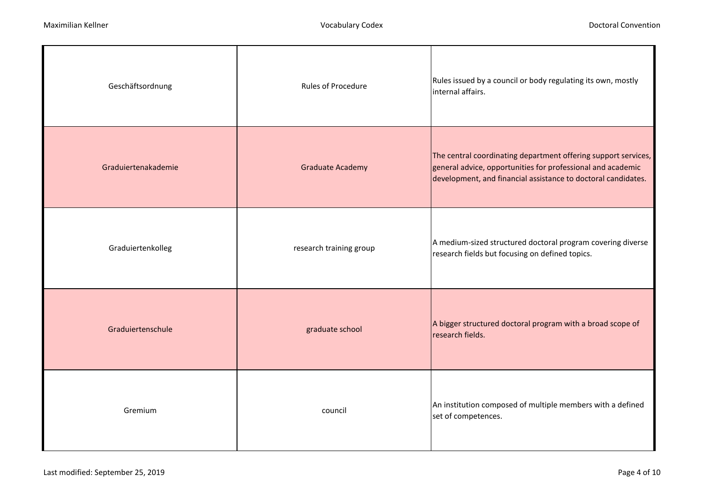| Geschäftsordnung    | Rules of Procedure      | Rules issued by a council or body regulating its own, mostly<br>internal affairs.                                                                                                              |
|---------------------|-------------------------|------------------------------------------------------------------------------------------------------------------------------------------------------------------------------------------------|
| Graduiertenakademie | <b>Graduate Academy</b> | The central coordinating department offering support services,<br>general advice, opportunities for professional and academic<br>development, and financial assistance to doctoral candidates. |
| Graduiertenkolleg   | research training group | A medium-sized structured doctoral program covering diverse<br>research fields but focusing on defined topics.                                                                                 |
| Graduiertenschule   | graduate school         | A bigger structured doctoral program with a broad scope of<br>research fields.                                                                                                                 |
| Gremium             | council                 | An institution composed of multiple members with a defined<br>set of competences.                                                                                                              |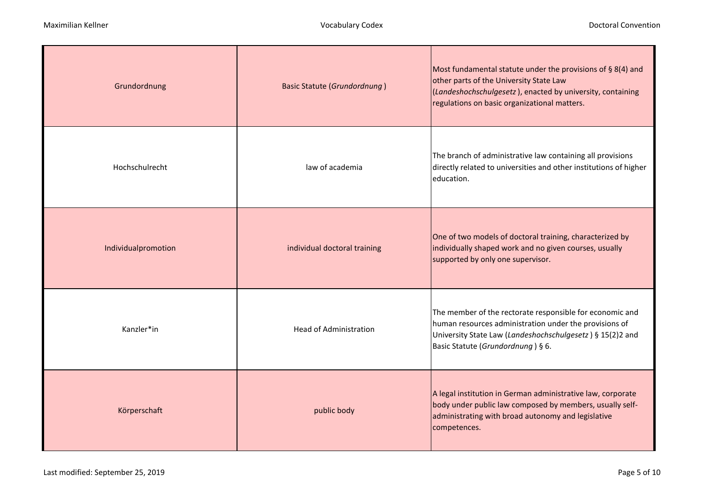| Grundordnung        | <b>Basic Statute (Grundordnung)</b> | Most fundamental statute under the provisions of § 8(4) and<br>other parts of the University State Law<br>(Landeshochschulgesetz), enacted by university, containing<br>regulations on basic organizational matters. |
|---------------------|-------------------------------------|----------------------------------------------------------------------------------------------------------------------------------------------------------------------------------------------------------------------|
| Hochschulrecht      | law of academia                     | The branch of administrative law containing all provisions<br>directly related to universities and other institutions of higher<br>education.                                                                        |
| Individualpromotion | individual doctoral training        | One of two models of doctoral training, characterized by<br>individually shaped work and no given courses, usually<br>supported by only one supervisor.                                                              |
| Kanzler*in          | <b>Head of Administration</b>       | The member of the rectorate responsible for economic and<br>human resources administration under the provisions of<br>University State Law (Landeshochschulgesetz) § 15(2)2 and<br>Basic Statute (Grundordnung) § 6. |
| Körperschaft        | public body                         | A legal institution in German administrative law, corporate<br>body under public law composed by members, usually self-<br>administrating with broad autonomy and legislative<br>competences.                        |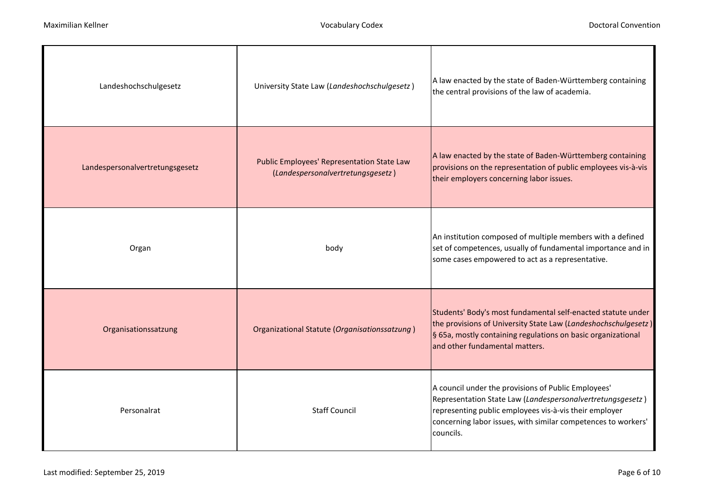| Landeshochschulgesetz           | University State Law (Landeshochschulgesetz)                                    | A law enacted by the state of Baden-Württemberg containing<br>the central provisions of the law of academia.                                                                                                                                              |
|---------------------------------|---------------------------------------------------------------------------------|-----------------------------------------------------------------------------------------------------------------------------------------------------------------------------------------------------------------------------------------------------------|
| Landespersonalvertretungsgesetz | Public Employees' Representation State Law<br>(Landespersonalvertretungsgesetz) | A law enacted by the state of Baden-Württemberg containing<br>provisions on the representation of public employees vis-à-vis<br>their employers concerning labor issues.                                                                                  |
| Organ                           | body                                                                            | An institution composed of multiple members with a defined<br>set of competences, usually of fundamental importance and in<br>some cases empowered to act as a representative.                                                                            |
| Organisationssatzung            | Organizational Statute (Organisationssatzung)                                   | Students' Body's most fundamental self-enacted statute under<br>the provisions of University State Law (Landeshochschulgesetz)<br>§ 65a, mostly containing regulations on basic organizational<br>and other fundamental matters.                          |
| Personalrat                     | <b>Staff Council</b>                                                            | A council under the provisions of Public Employees'<br>Representation State Law (Landespersonalvertretungsgesetz)<br>representing public employees vis-à-vis their employer<br>concerning labor issues, with similar competences to workers'<br>councils. |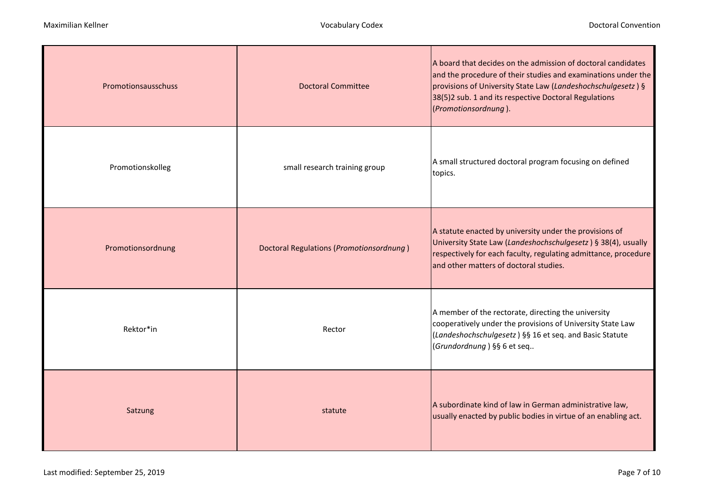| Promotionsausschuss | <b>Doctoral Committee</b>                | A board that decides on the admission of doctoral candidates<br>and the procedure of their studies and examinations under the<br>provisions of University State Law (Landeshochschulgesetz) §<br>38(5)2 sub. 1 and its respective Doctoral Regulations<br>(Promotionsordnung). |
|---------------------|------------------------------------------|--------------------------------------------------------------------------------------------------------------------------------------------------------------------------------------------------------------------------------------------------------------------------------|
| Promotionskolleg    | small research training group            | A small structured doctoral program focusing on defined<br>topics.                                                                                                                                                                                                             |
| Promotionsordnung   | Doctoral Regulations (Promotionsordnung) | A statute enacted by university under the provisions of<br>University State Law (Landeshochschulgesetz) § 38(4), usually<br>respectively for each faculty, regulating admittance, procedure<br>and other matters of doctoral studies.                                          |
| Rektor*in           | Rector                                   | A member of the rectorate, directing the university<br>cooperatively under the provisions of University State Law<br>(Landeshochschulgesetz) §§ 16 et seq. and Basic Statute<br>(Grundordnung) §§ 6 et seq                                                                     |
| Satzung             | statute                                  | A subordinate kind of law in German administrative law,<br>usually enacted by public bodies in virtue of an enabling act.                                                                                                                                                      |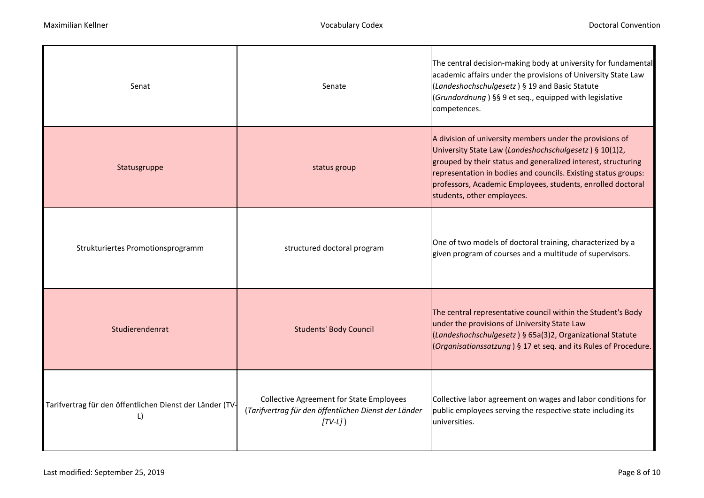| Senat                                                          | Senate                                                                                                              | The central decision-making body at university for fundamental<br>academic affairs under the provisions of University State Law<br>(Landeshochschulgesetz) § 19 and Basic Statute<br>(Grundordnung) §§ 9 et seq., equipped with legislative<br>competences.                                                                                        |
|----------------------------------------------------------------|---------------------------------------------------------------------------------------------------------------------|----------------------------------------------------------------------------------------------------------------------------------------------------------------------------------------------------------------------------------------------------------------------------------------------------------------------------------------------------|
| Statusgruppe                                                   | status group                                                                                                        | A division of university members under the provisions of<br>University State Law (Landeshochschulgesetz) § 10(1)2,<br>grouped by their status and generalized interest, structuring<br>representation in bodies and councils. Existing status groups:<br>professors, Academic Employees, students, enrolled doctoral<br>students, other employees. |
| Strukturiertes Promotionsprogramm                              | structured doctoral program                                                                                         | One of two models of doctoral training, characterized by a<br>given program of courses and a multitude of supervisors.                                                                                                                                                                                                                             |
| Studierendenrat                                                | <b>Students' Body Council</b>                                                                                       | The central representative council within the Student's Body<br>under the provisions of University State Law<br>(Landeshochschulgesetz) § 65a(3)2, Organizational Statute<br>(Organisationssatzung) § 17 et seq. and its Rules of Procedure.                                                                                                       |
| Tarifvertrag für den öffentlichen Dienst der Länder (TV-<br>L) | <b>Collective Agreement for State Employees</b><br>(Tarifvertrag für den öffentlichen Dienst der Länder<br>$(TV-L)$ | Collective labor agreement on wages and labor conditions for<br>public employees serving the respective state including its<br>universities.                                                                                                                                                                                                       |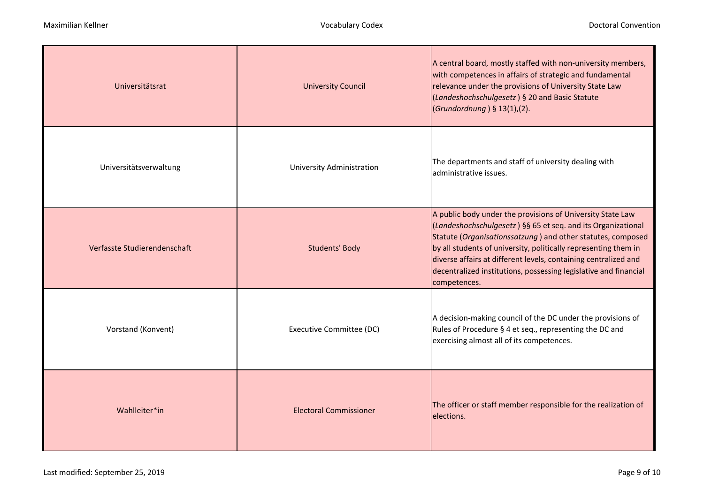| Universitätsrat              | <b>University Council</b>        | A central board, mostly staffed with non-university members,<br>with competences in affairs of strategic and fundamental<br>relevance under the provisions of University State Law<br>(Landeshochschulgesetz) § 20 and Basic Statute<br>(Grundordnung) § 13(1),(2).                                                                                                                                                 |
|------------------------------|----------------------------------|---------------------------------------------------------------------------------------------------------------------------------------------------------------------------------------------------------------------------------------------------------------------------------------------------------------------------------------------------------------------------------------------------------------------|
| Universitätsverwaltung       | <b>University Administration</b> | The departments and staff of university dealing with<br>administrative issues.                                                                                                                                                                                                                                                                                                                                      |
| Verfasste Studierendenschaft | <b>Students' Body</b>            | A public body under the provisions of University State Law<br>(Landeshochschulgesetz) §§ 65 et seq. and its Organizational<br>Statute (Organisationssatzung) and other statutes, composed<br>by all students of university, politically representing them in<br>diverse affairs at different levels, containing centralized and<br>decentralized institutions, possessing legislative and financial<br>competences. |
| Vorstand (Konvent)           | Executive Committee (DC)         | A decision-making council of the DC under the provisions of<br>Rules of Procedure § 4 et seq., representing the DC and<br>exercising almost all of its competences.                                                                                                                                                                                                                                                 |
| Wahlleiter*in                | <b>Electoral Commissioner</b>    | The officer or staff member responsible for the realization of<br>elections.                                                                                                                                                                                                                                                                                                                                        |